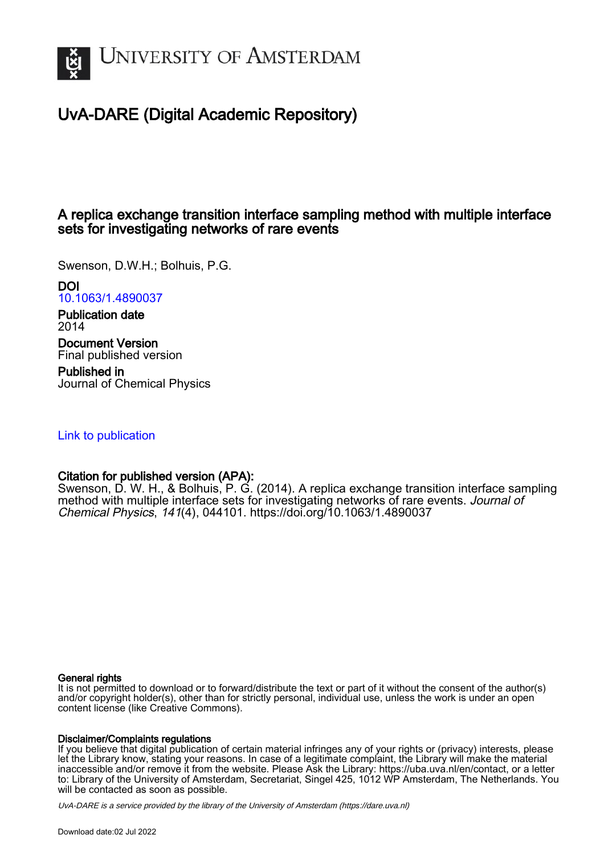

# UvA-DARE (Digital Academic Repository)

## A replica exchange transition interface sampling method with multiple interface sets for investigating networks of rare events

Swenson, D.W.H.; Bolhuis, P.G.

DOI [10.1063/1.4890037](https://doi.org/10.1063/1.4890037)

Publication date 2014

Document Version Final published version

Published in Journal of Chemical Physics

## [Link to publication](https://dare.uva.nl/personal/pure/en/publications/a-replica-exchange-transition-interface-sampling-method-with-multiple-interface-sets-for-investigating-networks-of-rare-events(cfe3a40b-9981-4384-add3-8bbfa056af28).html)

## Citation for published version (APA):

Swenson, D. W. H., & Bolhuis, P. G. (2014). A replica exchange transition interface sampling method with multiple interface sets for investigating networks of rare events. Journal of Chemical Physics, 141(4), 044101.<https://doi.org/10.1063/1.4890037>

## General rights

It is not permitted to download or to forward/distribute the text or part of it without the consent of the author(s) and/or copyright holder(s), other than for strictly personal, individual use, unless the work is under an open content license (like Creative Commons).

## Disclaimer/Complaints regulations

If you believe that digital publication of certain material infringes any of your rights or (privacy) interests, please let the Library know, stating your reasons. In case of a legitimate complaint, the Library will make the material inaccessible and/or remove it from the website. Please Ask the Library: https://uba.uva.nl/en/contact, or a letter to: Library of the University of Amsterdam, Secretariat, Singel 425, 1012 WP Amsterdam, The Netherlands. You will be contacted as soon as possible.

UvA-DARE is a service provided by the library of the University of Amsterdam (http*s*://dare.uva.nl)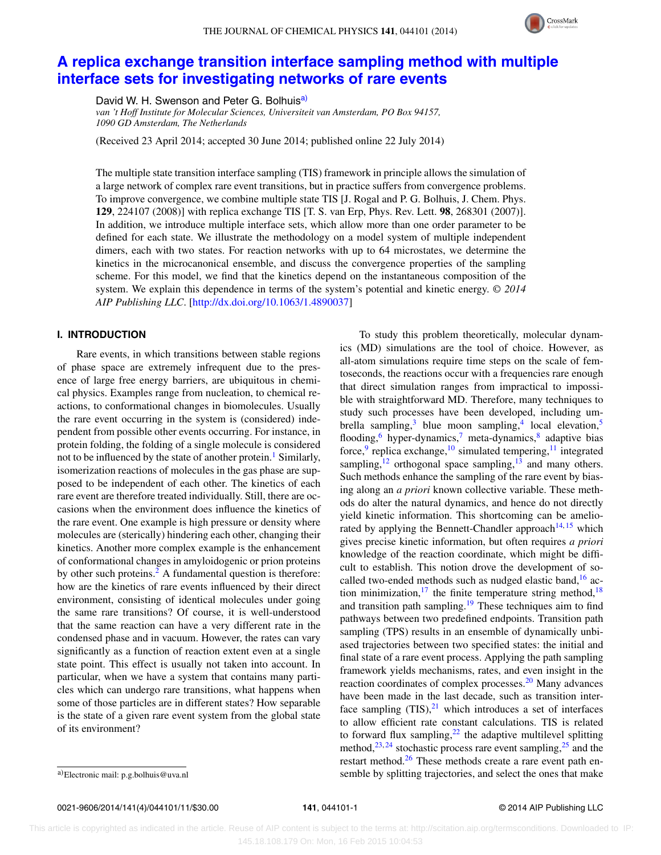

## **[A replica exchange transition interface sampling method with multiple](http://dx.doi.org/10.1063/1.4890037) [interface sets for investigating networks of rare events](http://dx.doi.org/10.1063/1.4890037)**

David W. H. Swenson and Peter G. Bolhuis<sup>[a\)](#page-1-0)</sup>

*van 't Hoff Institute for Molecular Sciences, Universiteit van Amsterdam, PO Box 94157, 1090 GD Amsterdam, The Netherlands*

(Received 23 April 2014; accepted 30 June 2014; published online 22 July 2014)

The multiple state transition interface sampling (TIS) framework in principle allows the simulation of a large network of complex rare event transitions, but in practice suffers from convergence problems. To improve convergence, we combine multiple state TIS [J. Rogal and P. G. Bolhuis, J. Chem. Phys. **129**, 224107 (2008)] with replica exchange TIS [T. S. van Erp, Phys. Rev. Lett. **98**, 268301 (2007)]. In addition, we introduce multiple interface sets, which allow more than one order parameter to be defined for each state. We illustrate the methodology on a model system of multiple independent dimers, each with two states. For reaction networks with up to 64 microstates, we determine the kinetics in the microcanonical ensemble, and discuss the convergence properties of the sampling scheme. For this model, we find that the kinetics depend on the instantaneous composition of the system. We explain this dependence in terms of the system's potential and kinetic energy. *© 2014 AIP Publishing LLC*. [\[http://dx.doi.org/10.1063/1.4890037\]](http://dx.doi.org/10.1063/1.4890037)

## **I. INTRODUCTION**

Rare events, in which transitions between stable regions of phase space are extremely infrequent due to the presence of large free energy barriers, are ubiquitous in chemical physics. Examples range from nucleation, to chemical reactions, to conformational changes in biomolecules. Usually the rare event occurring in the system is (considered) independent from possible other events occurring. For instance, in protein folding, the folding of a single molecule is considered not to be influenced by the state of another protein.<sup>1</sup> Similarly, isomerization reactions of molecules in the gas phase are supposed to be independent of each other. The kinetics of each rare event are therefore treated individually. Still, there are occasions when the environment does influence the kinetics of the rare event. One example is high pressure or density where molecules are (sterically) hindering each other, changing their kinetics. Another more complex example is the enhancement of conformational changes in amyloidogenic or prion proteins by other such proteins.<sup>[2](#page-10-1)</sup> A fundamental question is therefore: how are the kinetics of rare events influenced by their direct environment, consisting of identical molecules under going the same rare transitions? Of course, it is well-understood that the same reaction can have a very different rate in the condensed phase and in vacuum. However, the rates can vary significantly as a function of reaction extent even at a single state point. This effect is usually not taken into account. In particular, when we have a system that contains many particles which can undergo rare transitions, what happens when some of those particles are in different states? How separable is the state of a given rare event system from the global state of its environment?

To study this problem theoretically, molecular dynamics (MD) simulations are the tool of choice. However, as all-atom simulations require time steps on the scale of femtoseconds, the reactions occur with a frequencies rare enough that direct simulation ranges from impractical to impossible with straightforward MD. Therefore, many techniques to study such processes have been developed, including um-brella sampling,<sup>[3](#page-10-2)</sup> blue moon sampling,<sup>[4](#page-10-3)</sup> local elevation,<sup>[5](#page-10-4)</sup> flooding[,6](#page-10-5) hyper-dynamics[,7](#page-10-6) meta-dynamics[,8](#page-10-7) adaptive bias force, $9$  replica exchange,  $10$  simulated tempering,  $11$  integrated sampling, $\frac{12}{12}$  $\frac{12}{12}$  $\frac{12}{12}$  orthogonal space sampling, $\frac{13}{13}$  and many others. Such methods enhance the sampling of the rare event by biasing along an *a priori* known collective variable. These methods do alter the natural dynamics, and hence do not directly yield kinetic information. This shortcoming can be amelio-rated by applying the Bennett-Chandler approach<sup>14, [15](#page-10-14)</sup> which gives precise kinetic information, but often requires *a priori* knowledge of the reaction coordinate, which might be difficult to establish. This notion drove the development of socalled two-ended methods such as nudged elastic band, $16$  action minimization, $17$  the finite temperature string method,  $18$ and transition path sampling[.19](#page-10-18) These techniques aim to find pathways between two predefined endpoints. Transition path sampling (TPS) results in an ensemble of dynamically unbiased trajectories between two specified states: the initial and final state of a rare event process. Applying the path sampling framework yields mechanisms, rates, and even insight in the reaction coordinates of complex processes.<sup>[20](#page-10-19)</sup> Many advances have been made in the last decade, such as transition interface sampling  $(TIS)$ , <sup>21</sup> which introduces a set of interfaces to allow efficient rate constant calculations. TIS is related to forward flux sampling, $22$  the adaptive multilevel splitting method, $2^{3,24}$  $2^{3,24}$  $2^{3,24}$  stochastic process rare event sampling, $2^{5}$  and the restart method.<sup>[26](#page-10-25)</sup> These methods create a rare event path ensemble by splitting trajectories, and select the ones that make

0021-9606/2014/141(4)/044101/11/\$30.00 **141**, 044101-1 © 2014 AIP Publishing LLC

<span id="page-1-0"></span>a)Electronic mail: [p.g.bolhuis@uva.nl](mailto: p.g.bolhuis@uva.nl)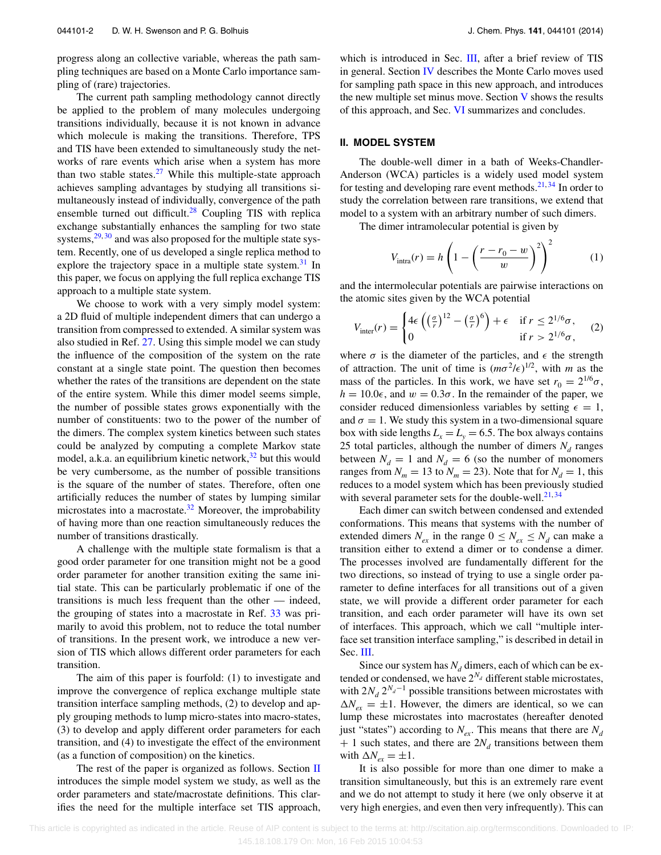progress along an collective variable, whereas the path sampling techniques are based on a Monte Carlo importance sampling of (rare) trajectories.

The current path sampling methodology cannot directly be applied to the problem of many molecules undergoing transitions individually, because it is not known in advance which molecule is making the transitions. Therefore, TPS and TIS have been extended to simultaneously study the networks of rare events which arise when a system has more than two stable states. $27$  While this multiple-state approach achieves sampling advantages by studying all transitions simultaneously instead of individually, convergence of the path ensemble turned out difficult.<sup>28</sup> Coupling TIS with replica exchange substantially enhances the sampling for two state systems,  $29, 30$  $29, 30$  and was also proposed for the multiple state system. Recently, one of us developed a single replica method to explore the trajectory space in a multiple state system.<sup>[31](#page-10-30)</sup> In this paper, we focus on applying the full replica exchange TIS approach to a multiple state system.

We choose to work with a very simply model system: a 2D fluid of multiple independent dimers that can undergo a transition from compressed to extended. A similar system was also studied in Ref. [27.](#page-10-26) Using this simple model we can study the influence of the composition of the system on the rate constant at a single state point. The question then becomes whether the rates of the transitions are dependent on the state of the entire system. While this dimer model seems simple, the number of possible states grows exponentially with the number of constituents: two to the power of the number of the dimers. The complex system kinetics between such states could be analyzed by computing a complete Markov state model, a.k.a. an equilibrium kinetic network,  $32$  but this would be very cumbersome, as the number of possible transitions is the square of the number of states. Therefore, often one artificially reduces the number of states by lumping similar microstates into a macrostate.<sup>[32](#page-10-31)</sup> Moreover, the improbability of having more than one reaction simultaneously reduces the number of transitions drastically.

A challenge with the multiple state formalism is that a good order parameter for one transition might not be a good order parameter for another transition exiting the same initial state. This can be particularly problematic if one of the transitions is much less frequent than the other — indeed, the grouping of states into a macrostate in Ref. [33](#page-11-0) was primarily to avoid this problem, not to reduce the total number of transitions. In the present work, we introduce a new version of TIS which allows different order parameters for each transition.

The aim of this paper is fourfold: (1) to investigate and improve the convergence of replica exchange multiple state transition interface sampling methods, (2) to develop and apply grouping methods to lump micro-states into macro-states, (3) to develop and apply different order parameters for each transition, and (4) to investigate the effect of the environment (as a function of composition) on the kinetics.

The rest of the paper is organized as follows. Section  $\Pi$ introduces the simple model system we study, as well as the order parameters and state/macrostate definitions. This clarifies the need for the multiple interface set TIS approach, which is introduced in Sec. [III,](#page-3-0) after a brief review of TIS in general. Section [IV](#page-5-0) describes the Monte Carlo moves used for sampling path space in this new approach, and introduces the new multiple set minus move. Section  $V$  shows the results of this approach, and Sec. [VI](#page-10-32) summarizes and concludes.

## <span id="page-2-0"></span>**II. MODEL SYSTEM**

The double-well dimer in a bath of Weeks-Chandler-Anderson (WCA) particles is a widely used model system for testing and developing rare event methods.<sup>[21,](#page-10-20) [34](#page-11-1)</sup> In order to study the correlation between rare transitions, we extend that model to a system with an arbitrary number of such dimers.

The dimer intramolecular potential is given by

$$
V_{\text{intra}}(r) = h \left( 1 - \left( \frac{r - r_0 - w}{w} \right)^2 \right)^2 \tag{1}
$$

and the intermolecular potentials are pairwise interactions on the atomic sites given by the WCA potential

$$
V_{\text{inter}}(r) = \begin{cases} 4\epsilon \left( \left( \frac{\sigma}{r} \right)^{12} - \left( \frac{\sigma}{r} \right)^6 \right) + \epsilon & \text{if } r \le 2^{1/6}\sigma, \\ 0 & \text{if } r > 2^{1/6}\sigma, \end{cases} \tag{2}
$$

where  $\sigma$  is the diameter of the particles, and  $\epsilon$  the strength of attraction. The unit of time is  $(m\sigma^2/\epsilon)^{1/2}$ , with *m* as the mass of the particles. In this work, we have set  $r_0 = 2^{1/6}\sigma$ ,  $h = 10.0\epsilon$ , and  $w = 0.3\sigma$ . In the remainder of the paper, we consider reduced dimensionless variables by setting  $\epsilon = 1$ , and  $\sigma = 1$ . We study this system in a two-dimensional square box with side lengths  $L<sub>x</sub> = L<sub>y</sub> = 6.5$ . The box always contains 25 total particles, although the number of dimers  $N_d$  ranges between  $N_d = 1$  and  $N_d = 6$  (so the number of monomers ranges from  $N_m = 13$  to  $N_m = 23$ ). Note that for  $N_d = 1$ , this reduces to a model system which has been previously studied with several parameter sets for the double-well. $21,34$  $21,34$ 

Each dimer can switch between condensed and extended conformations. This means that systems with the number of extended dimers  $N_{ex}$  in the range  $0 \leq N_{ex} \leq N_d$  can make a transition either to extend a dimer or to condense a dimer. The processes involved are fundamentally different for the two directions, so instead of trying to use a single order parameter to define interfaces for all transitions out of a given state, we will provide a different order parameter for each transition, and each order parameter will have its own set of interfaces. This approach, which we call "multiple interface set transition interface sampling," is described in detail in Sec. [III.](#page-3-0)

Since our system has  $N_d$  dimers, each of which can be extended or condensed, we have  $2^{N_d}$  different stable microstates, with  $2N_d 2^{N_d-1}$  possible transitions between microstates with  $\Delta N_{ex} = \pm 1$ . However, the dimers are identical, so we can lump these microstates into macrostates (hereafter denoted just "states") according to  $N_{ex}$ . This means that there are  $N_d$  $+ 1$  such states, and there are  $2N_d$  transitions between them with  $\Delta N_{\text{ex}} = \pm 1$ .

It is also possible for more than one dimer to make a transition simultaneously, but this is an extremely rare event and we do not attempt to study it here (we only observe it at very high energies, and even then very infrequently). This can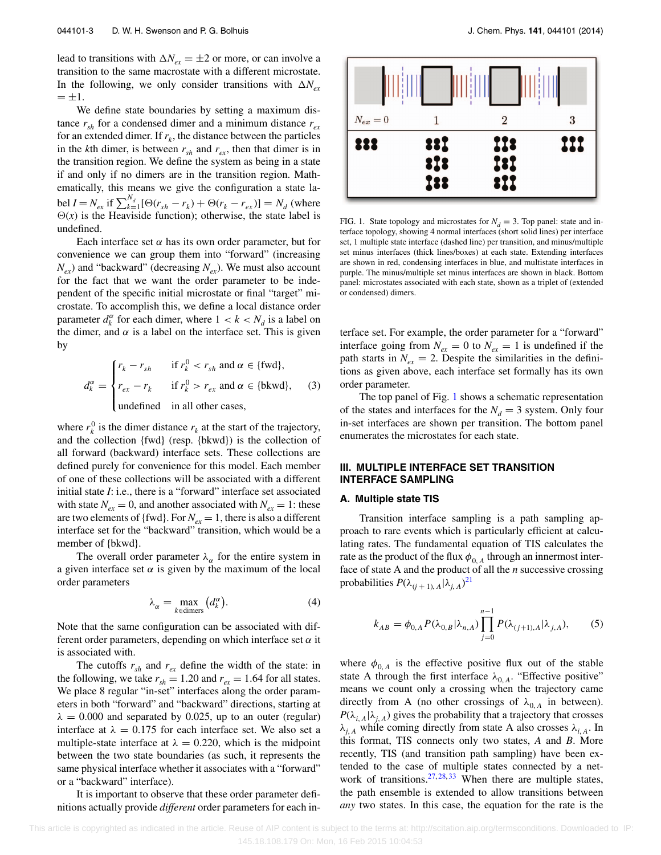lead to transitions with  $\Delta N_{ex} = \pm 2$  or more, or can involve a transition to the same macrostate with a different microstate. In the following, we only consider transitions with  $\Delta N_{\text{ev}}$  $=\pm 1.$ 

We define state boundaries by setting a maximum distance  $r_{sh}$  for a condensed dimer and a minimum distance  $r_{ex}$ for an extended dimer. If  $r_k$ , the distance between the particles in the *k*th dimer, is between  $r_{sh}$  and  $r_{ex}$ , then that dimer is in the transition region. We define the system as being in a state if and only if no dimers are in the transition region. Mathematically, this means we give the configuration a state la- $\text{bel } I = N_{ex} \text{ if } \sum_{k=1}^{N_d} [\Theta(r_{sh} - r_k) + \Theta(r_k - r_{ex})] = N_d \text{ (where)}$  $\Theta(x)$  is the Heaviside function); otherwise, the state label is undefined.

Each interface set  $\alpha$  has its own order parameter, but for convenience we can group them into "forward" (increasing  $N_{ex}$ ) and "backward" (decreasing  $N_{ex}$ ). We must also account for the fact that we want the order parameter to be independent of the specific initial microstate or final "target" microstate. To accomplish this, we define a local distance order parameter  $d_k^{\alpha}$  for each dimer, where  $1 < k < N_d$  is a label on the dimer, and  $\alpha$  is a label on the interface set. This is given by

$$
d_k^{\alpha} = \begin{cases} r_k - r_{sh} & \text{if } r_k^0 < r_{sh} \text{ and } \alpha \in \text{fwd}, \\ r_{ex} - r_k & \text{if } r_k^0 > r_{ex} \text{ and } \alpha \in \text{[bkwd]}, \\ \text{undefined} & \text{in all other cases}, \end{cases} \tag{3}
$$

where  $r_k^0$  is the dimer distance  $r_k$  at the start of the trajectory, and the collection {fwd} (resp. {bkwd}) is the collection of all forward (backward) interface sets. These collections are defined purely for convenience for this model. Each member of one of these collections will be associated with a different initial state *I*: i.e., there is a "forward" interface set associated with state  $N_{ex} = 0$ , and another associated with  $N_{ex} = 1$ : these are two elements of {fwd}. For  $N_{ex} = 1$ , there is also a different interface set for the "backward" transition, which would be a member of {bkwd}.

The overall order parameter  $\lambda_{\alpha}$  for the entire system in a given interface set  $\alpha$  is given by the maximum of the local order parameters

$$
\lambda_{\alpha} = \max_{k \in \text{dimers}} \left( d_k^{\alpha} \right). \tag{4}
$$

Note that the same configuration can be associated with different order parameters, depending on which interface set *α* it is associated with.

The cutoffs  $r_{sh}$  and  $r_{ex}$  define the width of the state: in the following, we take  $r_{sh} = 1.20$  and  $r_{ex} = 1.64$  for all states. We place 8 regular "in-set" interfaces along the order parameters in both "forward" and "backward" directions, starting at  $\lambda = 0.000$  and separated by 0.025, up to an outer (regular) interface at  $\lambda = 0.175$  for each interface set. We also set a multiple-state interface at  $\lambda = 0.220$ , which is the midpoint between the two state boundaries (as such, it represents the same physical interface whether it associates with a "forward" or a "backward" interface).

It is important to observe that these order parameter definitions actually provide *different* order parameters for each in-

<span id="page-3-1"></span>

FIG. 1. State topology and microstates for  $N_d = 3$ . Top panel: state and interface topology, showing 4 normal interfaces (short solid lines) per interface set, 1 multiple state interface (dashed line) per transition, and minus/multiple set minus interfaces (thick lines/boxes) at each state. Extending interfaces are shown in red, condensing interfaces in blue, and multistate interfaces in purple. The minus/multiple set minus interfaces are shown in black. Bottom panel: microstates associated with each state, shown as a triplet of (extended or condensed) dimers.

terface set. For example, the order parameter for a "forward" interface going from  $N_{ex} = 0$  to  $N_{ex} = 1$  is undefined if the path starts in  $N_{ex} = 2$ . Despite the similarities in the definitions as given above, each interface set formally has its own order parameter.

The top panel of Fig. [1](#page-3-1) shows a schematic representation of the states and interfaces for the  $N_d = 3$  system. Only four in-set interfaces are shown per transition. The bottom panel enumerates the microstates for each state.

## <span id="page-3-0"></span>**III. MULTIPLE INTERFACE SET TRANSITION INTERFACE SAMPLING**

### **A. Multiple state TIS**

Transition interface sampling is a path sampling approach to rare events which is particularly efficient at calculating rates. The fundamental equation of TIS calculates the rate as the product of the flux  $\phi_{0,A}$  through an innermost interface of state A and the product of all the *n* successive crossing probabilities  $P(\lambda_{(j+1),A}|\lambda_{j,A})^{21}$  $P(\lambda_{(j+1),A}|\lambda_{j,A})^{21}$  $P(\lambda_{(j+1),A}|\lambda_{j,A})^{21}$ 

<span id="page-3-2"></span>
$$
k_{AB} = \phi_{0,A} P(\lambda_{0,B} | \lambda_{n,A}) \prod_{j=0}^{n-1} P(\lambda_{(j+1),A} | \lambda_{j,A}),
$$
 (5)

where  $\phi_{0,A}$  is the effective positive flux out of the stable state A through the first interface  $\lambda_{0,A}$ . "Effective positive" means we count only a crossing when the trajectory came directly from A (no other crossings of  $\lambda_{0,A}$  in between).  $P(\lambda_{i, A} | \lambda_{i, A})$  gives the probability that a trajectory that crosses *λ<sup>j</sup>*, *<sup>A</sup>* while coming directly from state A also crosses *λ<sup>i</sup>*, *<sup>A</sup>*. In this format, TIS connects only two states, *A* and *B*. More recently, TIS (and transition path sampling) have been extended to the case of multiple states connected by a network of transitions.  $27, 28, 33$  $27, 28, 33$  $27, 28, 33$  $27, 28, 33$  $27, 28, 33$  When there are multiple states, the path ensemble is extended to allow transitions between *any* two states. In this case, the equation for the rate is the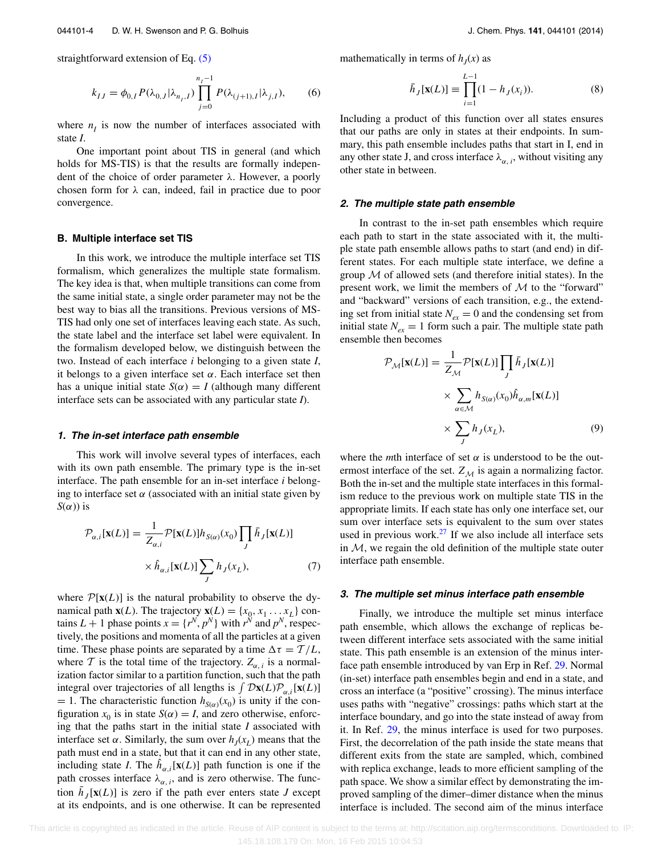straightforward extension of Eq. [\(5\)](#page-3-2)

$$
k_{IJ} = \phi_{0,I} P(\lambda_{0,J} | \lambda_{n_I,I}) \prod_{j=0}^{n_I-1} P(\lambda_{(j+1),I} | \lambda_{j,I}),
$$
 (6)

where  $n<sub>I</sub>$  is now the number of interfaces associated with state *I*.

One important point about TIS in general (and which holds for MS-TIS) is that the results are formally independent of the choice of order parameter *λ*. However, a poorly chosen form for *λ* can, indeed, fail in practice due to poor convergence.

#### **B. Multiple interface set TIS**

In this work, we introduce the multiple interface set TIS formalism, which generalizes the multiple state formalism. The key idea is that, when multiple transitions can come from the same initial state, a single order parameter may not be the best way to bias all the transitions. Previous versions of MS-TIS had only one set of interfaces leaving each state. As such, the state label and the interface set label were equivalent. In the formalism developed below, we distinguish between the two. Instead of each interface *i* belonging to a given state *I*, it belongs to a given interface set *α*. Each interface set then has a unique initial state  $S(\alpha) = I$  (although many different interface sets can be associated with any particular state *I*).

#### **1. The in-set interface path ensemble**

This work will involve several types of interfaces, each with its own path ensemble. The primary type is the in-set interface. The path ensemble for an in-set interface *i* belonging to interface set  $\alpha$  (associated with an initial state given by *S*( $\alpha$ )) is

<span id="page-4-0"></span>
$$
\mathcal{P}_{\alpha,i}[\mathbf{x}(L)] = \frac{1}{Z_{\alpha,i}} \mathcal{P}[\mathbf{x}(L)] h_{S(\alpha)}(x_0) \prod_j \bar{h}_J[\mathbf{x}(L)]
$$

$$
\times \hat{h}_{\alpha,i}[\mathbf{x}(L)] \sum_J h_J(x_L), \tag{7}
$$

where  $\mathcal{P}[\mathbf{x}(L)]$  is the natural probability to observe the dynamical path **x**(*L*). The trajectory **x**(*L*) = { $x_0, x_1 \dots x_L$ } contains  $L + 1$  phase points  $x = \{r^N, p^N\}$  with  $r^N$  and  $p^N$ , respectively, the positions and momenta of all the particles at a given time. These phase points are separated by a time  $\Delta \tau = T/L$ , where T is the total time of the trajectory.  $Z_{\alpha,i}$  is a normalization factor similar to a partition function, such that the path integral over trajectories of all lengths is  $\int \mathcal{D}x(L)\mathcal{P}_{\alpha,i}[x(L)]$  $= 1$ . The characteristic function  $h_{S(\alpha)}(x_0)$  is unity if the configuration  $x_0$  is in state  $S(\alpha) = I$ , and zero otherwise, enforcing that the paths start in the initial state *I* associated with interface set  $\alpha$ . Similarly, the sum over  $h_I(x_L)$  means that the path must end in a state, but that it can end in any other state, including state *I*. The  $\hat{h}_{\alpha,i}[\mathbf{x}(L)]$  path function is one if the path crosses interface  $\lambda_{\alpha,i}$ , and is zero otherwise. The function  $\bar{h}_J$  [**x**(*L*)] is zero if the path ever enters state *J* except at its endpoints, and is one otherwise. It can be represented mathematically in terms of  $h<sub>I</sub>(x)$  as

$$
\bar{h}_J[\mathbf{x}(L)] \equiv \prod_{i=1}^{L-1} (1 - h_J(x_i)).
$$
 (8)

Including a product of this function over all states ensures that our paths are only in states at their endpoints. In summary, this path ensemble includes paths that start in I, end in any other state J, and cross interface  $\lambda_{\alpha,i}$ , without visiting any other state in between.

#### **2. The multiple state path ensemble**

In contrast to the in-set path ensembles which require each path to start in the state associated with it, the multiple state path ensemble allows paths to start (and end) in different states. For each multiple state interface, we define a group  $M$  of allowed sets (and therefore initial states). In the present work, we limit the members of  $M$  to the "forward" and "backward" versions of each transition, e.g., the extending set from initial state  $N_{ex} = 0$  and the condensing set from initial state  $N_{ex} = 1$  form such a pair. The multiple state path ensemble then becomes

$$
\mathcal{P}_{\mathcal{M}}[\mathbf{x}(L)] = \frac{1}{Z_{\mathcal{M}}} \mathcal{P}[\mathbf{x}(L)] \prod_{J} \bar{h}_{J}[\mathbf{x}(L)]
$$

$$
\times \sum_{\alpha \in \mathcal{M}} h_{S(\alpha)}(x_0) \hat{h}_{\alpha,m}[\mathbf{x}(L)]
$$

$$
\times \sum_{J} h_{J}(x_L), \tag{9}
$$

where the *m*th interface of set  $\alpha$  is understood to be the outermost interface of the set.  $Z_M$  is again a normalizing factor. Both the in-set and the multiple state interfaces in this formalism reduce to the previous work on multiple state TIS in the appropriate limits. If each state has only one interface set, our sum over interface sets is equivalent to the sum over states used in previous work. $27$  If we also include all interface sets in  $M$ , we regain the old definition of the multiple state outer interface path ensemble.

#### **3. The multiple set minus interface path ensemble**

Finally, we introduce the multiple set minus interface path ensemble, which allows the exchange of replicas between different interface sets associated with the same initial state. This path ensemble is an extension of the minus interface path ensemble introduced by van Erp in Ref. [29.](#page-10-28) Normal (in-set) interface path ensembles begin and end in a state, and cross an interface (a "positive" crossing). The minus interface uses paths with "negative" crossings: paths which start at the interface boundary, and go into the state instead of away from it. In Ref. [29,](#page-10-28) the minus interface is used for two purposes. First, the decorrelation of the path inside the state means that different exits from the state are sampled, which, combined with replica exchange, leads to more efficient sampling of the path space. We show a similar effect by demonstrating the improved sampling of the dimer–dimer distance when the minus interface is included. The second aim of the minus interface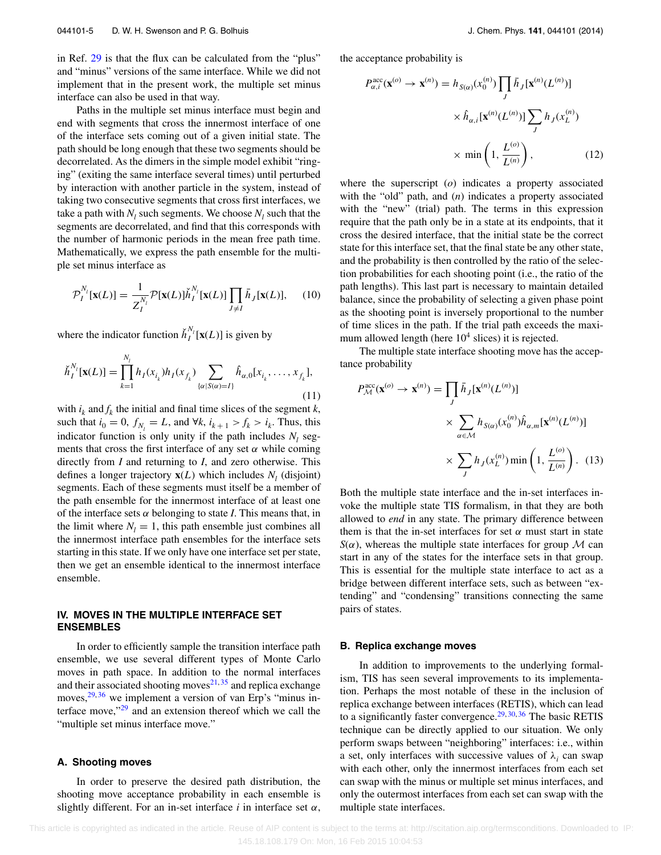in Ref. [29](#page-10-28) is that the flux can be calculated from the "plus" and "minus" versions of the same interface. While we did not implement that in the present work, the multiple set minus interface can also be used in that way.

Paths in the multiple set minus interface must begin and end with segments that cross the innermost interface of one of the interface sets coming out of a given initial state. The path should be long enough that these two segments should be decorrelated. As the dimers in the simple model exhibit "ringing" (exiting the same interface several times) until perturbed by interaction with another particle in the system, instead of taking two consecutive segments that cross first interfaces, we take a path with  $N_l$  such segments. We choose  $N_l$  such that the segments are decorrelated, and find that this corresponds with the number of harmonic periods in the mean free path time. Mathematically, we express the path ensemble for the multiple set minus interface as

$$
\mathcal{P}_I^{N_I}[\mathbf{x}(L)] = \frac{1}{Z_I^{N_I}} \mathcal{P}[\mathbf{x}(L)] \check{h}_I^{N_I}[\mathbf{x}(L)] \prod_{J \neq I} \bar{h}_J[\mathbf{x}(L)], \quad (10)
$$

where the indicator function  $\check{h}^{N_l}_I[\mathbf{x}(L)]$  is given by

$$
\check{h}_I^{N_I}[\mathbf{x}(L)] = \prod_{k=1}^{N_I} h_I(x_{i_k}) h_I(x_{f_k}) \sum_{\{\alpha | S(\alpha) = I\}} \hat{h}_{\alpha,0}[x_{i_k}, \dots, x_{f_k}],
$$
\n(11)

with  $i_k$  and  $f_k$  the initial and final time slices of the segment  $k$ , such that  $i_0 = 0$ ,  $f_{N_l} = L$ , and  $\forall k$ ,  $i_{k+1} > f_k > i_k$ . Thus, this indicator function is only unity if the path includes  $N_l$  segments that cross the first interface of any set *α* while coming directly from *I* and returning to *I*, and zero otherwise. This defines a longer trajectory  $\mathbf{x}(L)$  which includes  $N_l$  (disjoint) segments. Each of these segments must itself be a member of the path ensemble for the innermost interface of at least one of the interface sets  $\alpha$  belonging to state *I*. This means that, in the limit where  $N_l = 1$ , this path ensemble just combines all the innermost interface path ensembles for the interface sets starting in this state. If we only have one interface set per state, then we get an ensemble identical to the innermost interface ensemble.

## <span id="page-5-0"></span>**IV. MOVES IN THE MULTIPLE INTERFACE SET ENSEMBLES**

In order to efficiently sample the transition interface path ensemble, we use several different types of Monte Carlo moves in path space. In addition to the normal interfaces and their associated shooting moves $2^{1,35}$  $2^{1,35}$  $2^{1,35}$  and replica exchange moves,  $29,36$  $29,36$  we implement a version of van Erp's "minus interface move," $29$  and an extension thereof which we call the "multiple set minus interface move."

#### **A. Shooting moves**

In order to preserve the desired path distribution, the shooting move acceptance probability in each ensemble is slightly different. For an in-set interface *i* in interface set  $\alpha$ , the acceptance probability is

$$
P_{\alpha,i}^{\text{acc}}(\mathbf{x}^{(o)} \to \mathbf{x}^{(n)}) = h_{S(\alpha)}(x_0^{(n)}) \prod_j \bar{h}_j[\mathbf{x}^{(n)}(L^{(n)})]
$$

$$
\times \hat{h}_{\alpha,i}[\mathbf{x}^{(n)}(L^{(n)})] \sum_j h_j(x_L^{(n)})
$$

$$
\times \min\left(1, \frac{L^{(o)}}{L^{(n)}}\right), \tag{12}
$$

where the superscript (*o*) indicates a property associated with the "old" path, and  $(n)$  indicates a property associated with the "new" (trial) path. The terms in this expression require that the path only be in a state at its endpoints, that it cross the desired interface, that the initial state be the correct state for this interface set, that the final state be any other state, and the probability is then controlled by the ratio of the selection probabilities for each shooting point (i.e., the ratio of the path lengths). This last part is necessary to maintain detailed balance, since the probability of selecting a given phase point as the shooting point is inversely proportional to the number of time slices in the path. If the trial path exceeds the maximum allowed length (here  $10<sup>4</sup>$  slices) it is rejected.

<span id="page-5-2"></span><span id="page-5-1"></span>The multiple state interface shooting move has the acceptance probability

$$
P_{\mathcal{M}}^{\text{acc}}(\mathbf{x}^{(o)} \to \mathbf{x}^{(n)}) = \prod_{J} \bar{h}_{J}[\mathbf{x}^{(n)}(L^{(n)})]
$$

$$
\times \sum_{\alpha \in \mathcal{M}} h_{S(\alpha)}(x_0^{(n)}) \hat{h}_{\alpha,m}[\mathbf{x}^{(n)}(L^{(n)})]
$$

$$
\times \sum_{J} h_{J}(x_L^{(n)}) \min\left(1, \frac{L^{(o)}}{L^{(n)}}\right). (13)
$$

Both the multiple state interface and the in-set interfaces invoke the multiple state TIS formalism, in that they are both allowed to *end* in any state. The primary difference between them is that the in-set interfaces for set  $\alpha$  must start in state *S*( $\alpha$ ), whereas the multiple state interfaces for group M can start in any of the states for the interface sets in that group. This is essential for the multiple state interface to act as a bridge between different interface sets, such as between "extending" and "condensing" transitions connecting the same pairs of states.

## **B. Replica exchange moves**

In addition to improvements to the underlying formalism, TIS has seen several improvements to its implementation. Perhaps the most notable of these in the inclusion of replica exchange between interfaces (RETIS), which can lead to a significantly faster convergence.<sup>[29,](#page-10-28) [30,](#page-10-29) [36](#page-11-3)</sup> The basic RETIS technique can be directly applied to our situation. We only perform swaps between "neighboring" interfaces: i.e., within a set, only interfaces with successive values of  $\lambda_i$  can swap with each other, only the innermost interfaces from each set can swap with the minus or multiple set minus interfaces, and only the outermost interfaces from each set can swap with the multiple state interfaces.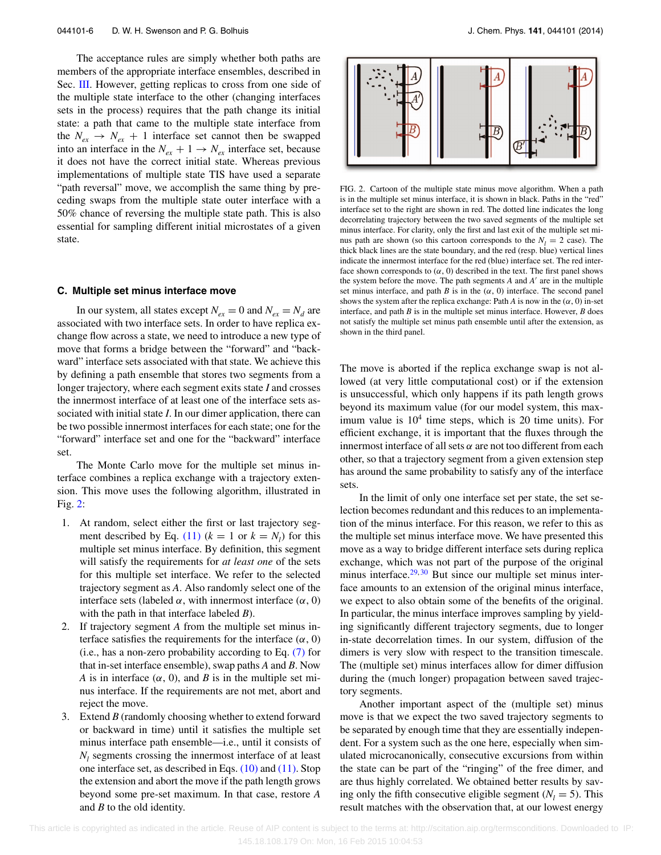The acceptance rules are simply whether both paths are members of the appropriate interface ensembles, described in Sec. [III.](#page-3-0) However, getting replicas to cross from one side of the multiple state interface to the other (changing interfaces sets in the process) requires that the path change its initial state: a path that came to the multiple state interface from the  $N_{ex} \rightarrow N_{ex} + 1$  interface set cannot then be swapped into an interface in the  $N_{ex} + 1 \rightarrow N_{ex}$  interface set, because it does not have the correct initial state. Whereas previous implementations of multiple state TIS have used a separate "path reversal" move, we accomplish the same thing by preceding swaps from the multiple state outer interface with a 50% chance of reversing the multiple state path. This is also essential for sampling different initial microstates of a given state.

## **C. Multiple set minus interface move**

In our system, all states except  $N_{ex} = 0$  and  $N_{ex} = N_d$  are associated with two interface sets. In order to have replica exchange flow across a state, we need to introduce a new type of move that forms a bridge between the "forward" and "backward" interface sets associated with that state. We achieve this by defining a path ensemble that stores two segments from a longer trajectory, where each segment exits state *I* and crosses the innermost interface of at least one of the interface sets associated with initial state *I*. In our dimer application, there can be two possible innermost interfaces for each state; one for the "forward" interface set and one for the "backward" interface set.

The Monte Carlo move for the multiple set minus interface combines a replica exchange with a trajectory extension. This move uses the following algorithm, illustrated in Fig. [2:](#page-6-0)

- 1. At random, select either the first or last trajectory seg-ment described by Eq. [\(11\)](#page-5-1)  $(k = 1 \text{ or } k = N_l)$  for this multiple set minus interface. By definition, this segment will satisfy the requirements for *at least one* of the sets for this multiple set interface. We refer to the selected trajectory segment as *A*. Also randomly select one of the interface sets (labeled *α*, with innermost interface (*α*, 0) with the path in that interface labeled *B*).
- 2. If trajectory segment *A* from the multiple set minus interface satisfies the requirements for the interface  $(\alpha, 0)$ (i.e., has a non-zero probability according to Eq. [\(7\)](#page-4-0) for that in-set interface ensemble), swap paths *A* and *B*. Now *A* is in interface  $(\alpha, 0)$ , and *B* is in the multiple set minus interface. If the requirements are not met, abort and reject the move.
- 3. Extend *B* (randomly choosing whether to extend forward or backward in time) until it satisfies the multiple set minus interface path ensemble—i.e., until it consists of  $N<sub>l</sub>$  segments crossing the innermost interface of at least one interface set, as described in Eqs. [\(10\)](#page-5-2) and [\(11\).](#page-5-1) Stop the extension and abort the move if the path length grows beyond some pre-set maximum. In that case, restore *A* and *B* to the old identity.

<span id="page-6-0"></span>

FIG. 2. Cartoon of the multiple state minus move algorithm. When a path is in the multiple set minus interface, it is shown in black. Paths in the "red" interface set to the right are shown in red. The dotted line indicates the long decorrelating trajectory between the two saved segments of the multiple set minus interface. For clarity, only the first and last exit of the multiple set minus path are shown (so this cartoon corresponds to the  $N<sub>l</sub> = 2$  case). The thick black lines are the state boundary, and the red (resp. blue) vertical lines indicate the innermost interface for the red (blue) interface set. The red interface shown corresponds to  $(\alpha, 0)$  described in the text. The first panel shows the system before the move. The path segments  $A$  and  $A'$  are in the multiple set minus interface, and path *B* is in the  $(\alpha, 0)$  interface. The second panel shows the system after the replica exchange: Path *A* is now in the  $(\alpha, 0)$  in-set interface, and path *B* is in the multiple set minus interface. However, *B* does not satisfy the multiple set minus path ensemble until after the extension, as shown in the third panel.

The move is aborted if the replica exchange swap is not allowed (at very little computational cost) or if the extension is unsuccessful, which only happens if its path length grows beyond its maximum value (for our model system, this maximum value is  $10<sup>4</sup>$  time steps, which is 20 time units). For efficient exchange, it is important that the fluxes through the innermost interface of all sets  $\alpha$  are not too different from each other, so that a trajectory segment from a given extension step has around the same probability to satisfy any of the interface sets.

In the limit of only one interface set per state, the set selection becomes redundant and this reduces to an implementation of the minus interface. For this reason, we refer to this as the multiple set minus interface move. We have presented this move as a way to bridge different interface sets during replica exchange, which was not part of the purpose of the original minus interface. $29,30$  $29,30$  But since our multiple set minus interface amounts to an extension of the original minus interface, we expect to also obtain some of the benefits of the original. In particular, the minus interface improves sampling by yielding significantly different trajectory segments, due to longer in-state decorrelation times. In our system, diffusion of the dimers is very slow with respect to the transition timescale. The (multiple set) minus interfaces allow for dimer diffusion during the (much longer) propagation between saved trajectory segments.

Another important aspect of the (multiple set) minus move is that we expect the two saved trajectory segments to be separated by enough time that they are essentially independent. For a system such as the one here, especially when simulated microcanonically, consecutive excursions from within the state can be part of the "ringing" of the free dimer, and are thus highly correlated. We obtained better results by saving only the fifth consecutive eligible segment  $(N_l = 5)$ . This result matches with the observation that, at our lowest energy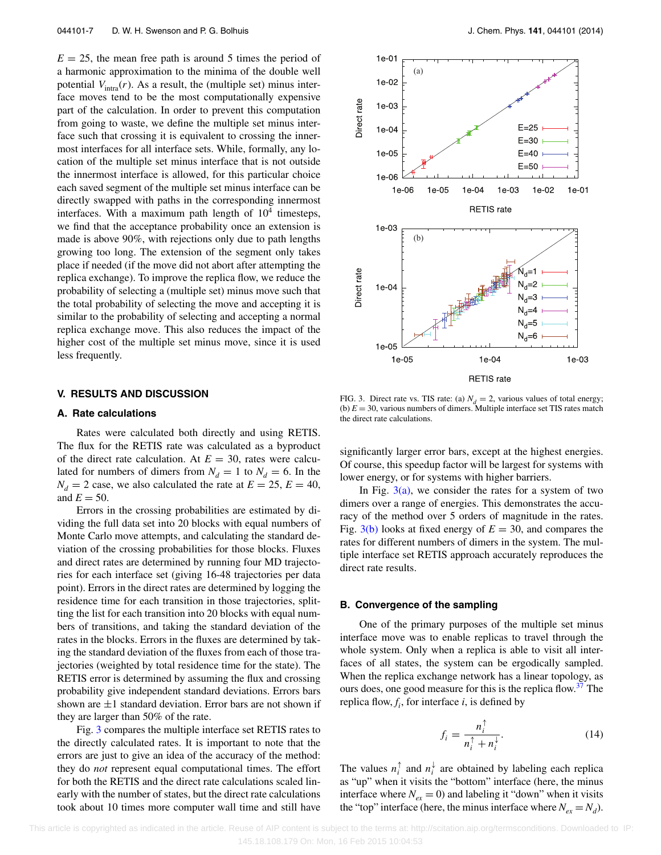$E = 25$ , the mean free path is around 5 times the period of a harmonic approximation to the minima of the double well potential  $V_{\text{intra}}(r)$ . As a result, the (multiple set) minus interface moves tend to be the most computationally expensive part of the calculation. In order to prevent this computation from going to waste, we define the multiple set minus interface such that crossing it is equivalent to crossing the innermost interfaces for all interface sets. While, formally, any location of the multiple set minus interface that is not outside the innermost interface is allowed, for this particular choice each saved segment of the multiple set minus interface can be directly swapped with paths in the corresponding innermost interfaces. With a maximum path length of  $10<sup>4</sup>$  timesteps, we find that the acceptance probability once an extension is made is above 90%, with rejections only due to path lengths growing too long. The extension of the segment only takes place if needed (if the move did not abort after attempting the replica exchange). To improve the replica flow, we reduce the probability of selecting a (multiple set) minus move such that the total probability of selecting the move and accepting it is similar to the probability of selecting and accepting a normal replica exchange move. This also reduces the impact of the higher cost of the multiple set minus move, since it is used less frequently.

## <span id="page-7-0"></span>**V. RESULTS AND DISCUSSION**

#### **A. Rate calculations**

Rates were calculated both directly and using RETIS. The flux for the RETIS rate was calculated as a byproduct of the direct rate calculation. At  $E = 30$ , rates were calculated for numbers of dimers from  $N_d = 1$  to  $N_d = 6$ . In the  $N_d = 2$  case, we also calculated the rate at  $E = 25$ ,  $E = 40$ , and  $E = 50$ .

Errors in the crossing probabilities are estimated by dividing the full data set into 20 blocks with equal numbers of Monte Carlo move attempts, and calculating the standard deviation of the crossing probabilities for those blocks. Fluxes and direct rates are determined by running four MD trajectories for each interface set (giving 16-48 trajectories per data point). Errors in the direct rates are determined by logging the residence time for each transition in those trajectories, splitting the list for each transition into 20 blocks with equal numbers of transitions, and taking the standard deviation of the rates in the blocks. Errors in the fluxes are determined by taking the standard deviation of the fluxes from each of those trajectories (weighted by total residence time for the state). The RETIS error is determined by assuming the flux and crossing probability give independent standard deviations. Errors bars shown are  $\pm 1$  standard deviation. Error bars are not shown if they are larger than 50% of the rate.

Fig. [3](#page-7-1) compares the multiple interface set RETIS rates to the directly calculated rates. It is important to note that the errors are just to give an idea of the accuracy of the method: they do *not* represent equal computational times. The effort for both the RETIS and the direct rate calculations scaled linearly with the number of states, but the direct rate calculations took about 10 times more computer wall time and still have

<span id="page-7-1"></span>

FIG. 3. Direct rate vs. TIS rate: (a)  $N_d = 2$ , various values of total energy; (b)  $E = 30$ , various numbers of dimers. Multiple interface set TIS rates match the direct rate calculations.

significantly larger error bars, except at the highest energies. Of course, this speedup factor will be largest for systems with lower energy, or for systems with higher barriers.

In Fig.  $3(a)$ , we consider the rates for a system of two dimers over a range of energies. This demonstrates the accuracy of the method over 5 orders of magnitude in the rates. Fig.  $3(b)$  looks at fixed energy of  $E = 30$ , and compares the rates for different numbers of dimers in the system. The multiple interface set RETIS approach accurately reproduces the direct rate results.

#### **B. Convergence of the sampling**

One of the primary purposes of the multiple set minus interface move was to enable replicas to travel through the whole system. Only when a replica is able to visit all interfaces of all states, the system can be ergodically sampled. When the replica exchange network has a linear topology, as ours does, one good measure for this is the replica flow.<sup>[37](#page-11-4)</sup> The replica flow,  $f_i$ , for interface *i*, is defined by

$$
f_i = \frac{n_i^{\uparrow}}{n_i^{\uparrow} + n_i^{\downarrow}}.
$$
 (14)

The values  $n_i^{\uparrow}$  and  $n_i^{\downarrow}$  are obtained by labeling each replica as "up" when it visits the "bottom" interface (here, the minus interface where  $N_{ex} = 0$ ) and labeling it "down" when it visits the "top" interface (here, the minus interface where  $N_{ex} = N_d$ ).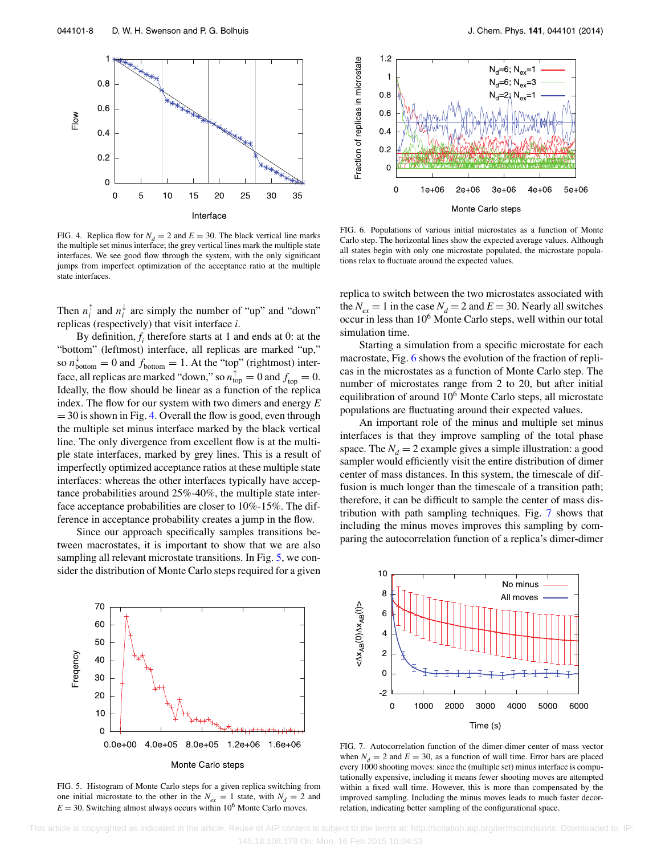<span id="page-8-0"></span>

FIG. 4. Replica flow for  $N_d = 2$  and  $E = 30$ . The black vertical line marks the multiple set minus interface; the grey vertical lines mark the multiple state interfaces. We see good flow through the system, with the only significant jumps from imperfect optimization of the acceptance ratio at the multiple state interfaces.

Then  $n_i^{\uparrow}$  and  $n_i^{\downarrow}$  are simply the number of "up" and "down" replicas (respectively) that visit interface *i*.

By definition,  $f_i$  therefore starts at 1 and ends at 0: at the "bottom" (leftmost) interface, all replicas are marked "up," so  $n_{\text{bottom}}^{\downarrow} = 0$  and  $f_{\text{bottom}} = 1$ . At the "top" (rightmost) interface, all replicas are marked "down," so  $n_{\text{top}}^{\uparrow} = 0$  and  $f_{\text{top}} = 0$ . Ideally, the flow should be linear as a function of the replica index. The flow for our system with two dimers and energy *E*  $= 30$  is shown in Fig. [4.](#page-8-0) Overall the flow is good, even through the multiple set minus interface marked by the black vertical line. The only divergence from excellent flow is at the multiple state interfaces, marked by grey lines. This is a result of imperfectly optimized acceptance ratios at these multiple state interfaces: whereas the other interfaces typically have acceptance probabilities around 25%-40%, the multiple state interface acceptance probabilities are closer to 10%-15%. The difference in acceptance probability creates a jump in the flow.

Since our approach specifically samples transitions between macrostates, it is important to show that we are also sampling all relevant microstate transitions. In Fig. [5,](#page-8-1) we consider the distribution of Monte Carlo steps required for a given

<span id="page-8-1"></span>

FIG. 5. Histogram of Monte Carlo steps for a given replica switching from one initial microstate to the other in the  $N_{ex} = 1$  state, with  $N_d = 2$  and  $E = 30$ . Switching almost always occurs within 10<sup>6</sup> Monte Carlo moves.

<span id="page-8-2"></span>

FIG. 6. Populations of various initial microstates as a function of Monte Carlo step. The horizontal lines show the expected average values. Although all states begin with only one microstate populated, the microstate populations relax to fluctuate around the expected values.

replica to switch between the two microstates associated with the  $N_{ex} = 1$  in the case  $N_d = 2$  and  $E = 30$ . Nearly all switches occur in less than 106 Monte Carlo steps, well within our total simulation time.

Starting a simulation from a specific microstate for each macrostate, Fig. [6](#page-8-2) shows the evolution of the fraction of replicas in the microstates as a function of Monte Carlo step. The number of microstates range from 2 to 20, but after initial equilibration of around  $10<sup>6</sup>$  Monte Carlo steps, all microstate populations are fluctuating around their expected values.

An important role of the minus and multiple set minus interfaces is that they improve sampling of the total phase space. The  $N_d = 2$  example gives a simple illustration: a good sampler would efficiently visit the entire distribution of dimer center of mass distances. In this system, the timescale of diffusion is much longer than the timescale of a transition path; therefore, it can be difficult to sample the center of mass distribution with path sampling techniques. Fig. [7](#page-8-3) shows that including the minus moves improves this sampling by comparing the autocorrelation function of a replica's dimer-dimer

<span id="page-8-3"></span>

FIG. 7. Autocorrelation function of the dimer-dimer center of mass vector when  $N_d = 2$  and  $E = 30$ , as a function of wall time. Error bars are placed every 1000 shooting moves: since the (multiple set) minus interface is computationally expensive, including it means fewer shooting moves are attempted within a fixed wall time. However, this is more than compensated by the improved sampling. Including the minus moves leads to much faster decorrelation, indicating better sampling of the configurational space.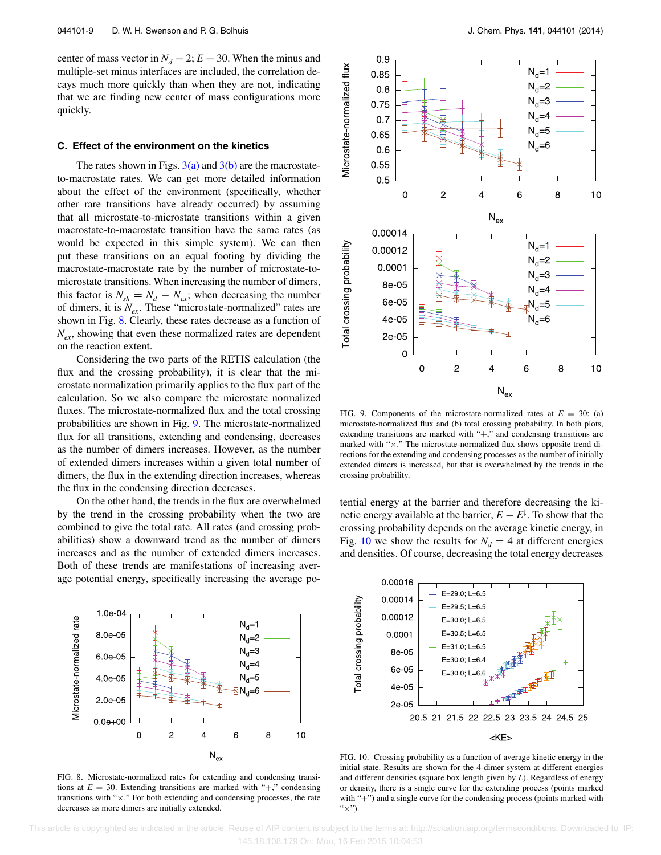center of mass vector in  $N_d = 2$ ;  $E = 30$ . When the minus and multiple-set minus interfaces are included, the correlation decays much more quickly than when they are not, indicating that we are finding new center of mass configurations more quickly.

## **C. Effect of the environment on the kinetics**

The rates shown in Figs.  $3(a)$  and  $3(b)$  are the macrostateto-macrostate rates. We can get more detailed information about the effect of the environment (specifically, whether other rare transitions have already occurred) by assuming that all microstate-to-microstate transitions within a given macrostate-to-macrostate transition have the same rates (as would be expected in this simple system). We can then put these transitions on an equal footing by dividing the macrostate-macrostate rate by the number of microstate-tomicrostate transitions. When increasing the number of dimers, this factor is  $N_{sh} = N_d - N_{ex}$ ; when decreasing the number of dimers, it is  $N_{ex}$ . These "microstate-normalized" rates are shown in Fig. [8.](#page-9-0) Clearly, these rates decrease as a function of  $N_{ex}$ , showing that even these normalized rates are dependent on the reaction extent.

Considering the two parts of the RETIS calculation (the flux and the crossing probability), it is clear that the microstate normalization primarily applies to the flux part of the calculation. So we also compare the microstate normalized fluxes. The microstate-normalized flux and the total crossing probabilities are shown in Fig. [9.](#page-9-1) The microstate-normalized flux for all transitions, extending and condensing, decreases as the number of dimers increases. However, as the number of extended dimers increases within a given total number of dimers, the flux in the extending direction increases, whereas the flux in the condensing direction decreases.

On the other hand, the trends in the flux are overwhelmed by the trend in the crossing probability when the two are combined to give the total rate. All rates (and crossing probabilities) show a downward trend as the number of dimers increases and as the number of extended dimers increases. Both of these trends are manifestations of increasing average potential energy, specifically increasing the average po-

<span id="page-9-0"></span>

FIG. 8. Microstate-normalized rates for extending and condensing transitions at  $E = 30$ . Extending transitions are marked with "+," condensing transitions with "×." For both extending and condensing processes, the rate decreases as more dimers are initially extended.

<span id="page-9-1"></span>

FIG. 9. Components of the microstate-normalized rates at  $E = 30$ : (a) microstate-normalized flux and (b) total crossing probability. In both plots, extending transitions are marked with "+," and condensing transitions are marked with "x." The microstate-normalized flux shows opposite trend directions for the extending and condensing processes as the number of initially extended dimers is increased, but that is overwhelmed by the trends in the crossing probability.

tential energy at the barrier and therefore decreasing the kinetic energy available at the barrier,  $E - E^{\ddagger}$ . To show that the crossing probability depends on the average kinetic energy, in Fig. [10](#page-9-2) we show the results for  $N_d = 4$  at different energies and densities. Of course, decreasing the total energy decreases

<span id="page-9-2"></span>

FIG. 10. Crossing probability as a function of average kinetic energy in the initial state. Results are shown for the 4-dimer system at different energies and different densities (square box length given by *L*). Regardless of energy or density, there is a single curve for the extending process (points marked with  $+$ ") and a single curve for the condensing process (points marked with " $\times$ ").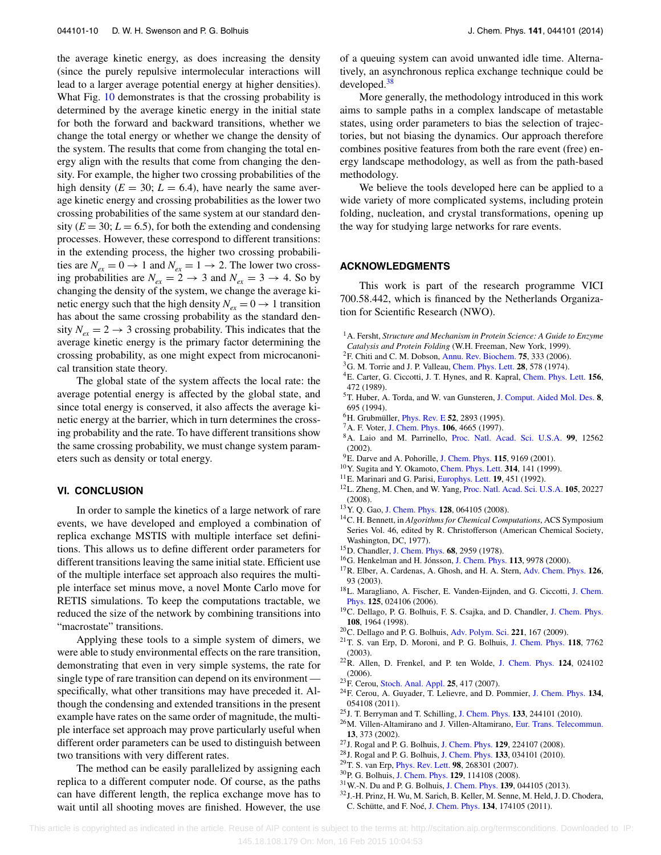the average kinetic energy, as does increasing the density (since the purely repulsive intermolecular interactions will lead to a larger average potential energy at higher densities). What Fig. [10](#page-9-2) demonstrates is that the crossing probability is determined by the average kinetic energy in the initial state for both the forward and backward transitions, whether we change the total energy or whether we change the density of the system. The results that come from changing the total energy align with the results that come from changing the density. For example, the higher two crossing probabilities of the high density  $(E = 30; L = 6.4)$ , have nearly the same average kinetic energy and crossing probabilities as the lower two crossing probabilities of the same system at our standard density  $(E = 30; L = 6.5)$ , for both the extending and condensing processes. However, these correspond to different transitions: in the extending process, the higher two crossing probabilities are  $N_{ex} = 0 \rightarrow 1$  and  $N_{ex} = 1 \rightarrow 2$ . The lower two crossing probabilities are  $N_{ex} = 2 \rightarrow 3$  and  $N_{ex} = 3 \rightarrow 4$ . So by changing the density of the system, we change the average kinetic energy such that the high density  $N_{ex} = 0 \rightarrow 1$  transition has about the same crossing probability as the standard density  $N_{er} = 2 \rightarrow 3$  crossing probability. This indicates that the average kinetic energy is the primary factor determining the crossing probability, as one might expect from microcanonical transition state theory.

The global state of the system affects the local rate: the average potential energy is affected by the global state, and since total energy is conserved, it also affects the average kinetic energy at the barrier, which in turn determines the crossing probability and the rate. To have different transitions show the same crossing probability, we must change system parameters such as density or total energy.

## <span id="page-10-32"></span>**VI. CONCLUSION**

In order to sample the kinetics of a large network of rare events, we have developed and employed a combination of replica exchange MSTIS with multiple interface set definitions. This allows us to define different order parameters for different transitions leaving the same initial state. Efficient use of the multiple interface set approach also requires the multiple interface set minus move, a novel Monte Carlo move for RETIS simulations. To keep the computations tractable, we reduced the size of the network by combining transitions into "macrostate" transitions.

Applying these tools to a simple system of dimers, we were able to study environmental effects on the rare transition, demonstrating that even in very simple systems, the rate for single type of rare transition can depend on its environment specifically, what other transitions may have preceded it. Although the condensing and extended transitions in the present example have rates on the same order of magnitude, the multiple interface set approach may prove particularly useful when different order parameters can be used to distinguish between two transitions with very different rates.

The method can be easily parallelized by assigning each replica to a different computer node. Of course, as the paths can have different length, the replica exchange move has to wait until all shooting moves are finished. However, the use

of a queuing system can avoid unwanted idle time. Alternatively, an asynchronous replica exchange technique could be developed.<sup>[38](#page-11-5)</sup>

More generally, the methodology introduced in this work aims to sample paths in a complex landscape of metastable states, using order parameters to bias the selection of trajectories, but not biasing the dynamics. Our approach therefore combines positive features from both the rare event (free) energy landscape methodology, as well as from the path-based methodology.

We believe the tools developed here can be applied to a wide variety of more complicated systems, including protein folding, nucleation, and crystal transformations, opening up the way for studying large networks for rare events.

## **ACKNOWLEDGMENTS**

This work is part of the research programme VICI 700.58.442, which is financed by the Netherlands Organization for Scientific Research (NWO).

- <span id="page-10-0"></span>1A. Fersht, *Structure and Mechanism in Protein Science: A Guide to Enzyme Catalysis and Protein Folding* (W.H. Freeman, New York, 1999).
- <span id="page-10-2"></span><span id="page-10-1"></span>2F. Chiti and C. M. Dobson, [Annu. Rev. Biochem.](http://dx.doi.org/10.1146/annurev.biochem.75.101304.123901) **75**, 333 (2006).
- <span id="page-10-3"></span>3G. M. Torrie and J. P. Valleau, [Chem. Phys. Lett.](http://dx.doi.org/10.1016/0009-2614(74)80109-0) **28**, 578 (1974).
- 4E. Carter, G. Ciccotti, J. T. Hynes, and R. Kapral, [Chem. Phys. Lett.](http://dx.doi.org/10.1016/S0009-2614(89)87314-2) **156**, 472 (1989).
- <span id="page-10-4"></span>5T. Huber, A. Torda, and W. van Gunsteren, [J. Comput. Aided Mol. Des.](http://dx.doi.org/10.1007/BF00124016) **8**, 695 (1994).
- <span id="page-10-6"></span><span id="page-10-5"></span>6H. Grubmüller, [Phys. Rev. E](http://dx.doi.org/10.1103/PhysRevE.52.2893) **52**, 2893 (1995).
- <span id="page-10-7"></span>7A. F. Voter, [J. Chem. Phys.](http://dx.doi.org/10.1063/1.473503) **106**, 4665 (1997).
- 8A. Laio and M. Parrinello, [Proc. Natl. Acad. Sci. U.S.A.](http://dx.doi.org/10.1073/pnas.202427399) **99**, 12562 (2002).
- <span id="page-10-9"></span><span id="page-10-8"></span>9E. Darve and A. Pohorille, [J. Chem. Phys.](http://dx.doi.org/10.1063/1.1410978) **115**, 9169 (2001).
- <span id="page-10-10"></span>10Y. Sugita and Y. Okamoto, [Chem. Phys. Lett.](http://dx.doi.org/10.1016/S0009-2614(99)01123-9) **314**, 141 (1999).
- <span id="page-10-11"></span>11E. Marinari and G. Parisi, [Europhys. Lett.](http://dx.doi.org/10.1209/0295-5075/19/6/002) **19**, 451 (1992).
- 12L. Zheng, M. Chen, and W. Yang, [Proc. Natl. Acad. Sci. U.S.A.](http://dx.doi.org/10.1073/pnas.0810631106) **105**, 20227 (2008).
- <span id="page-10-13"></span><span id="page-10-12"></span>13Y. Q. Gao, [J. Chem. Phys.](http://dx.doi.org/10.1063/1.2825614) **128**, 064105 (2008).
- 14C. H. Bennett, in *Algorithms for Chemical Computations*, ACS Symposium Series Vol. 46, edited by R. Christofferson (American Chemical Society, Washington, DC, 1977).
- <span id="page-10-15"></span><span id="page-10-14"></span>15D. Chandler, [J. Chem. Phys.](http://dx.doi.org/10.1063/1.436049) **68**, 2959 (1978).
- <span id="page-10-16"></span>16G. Henkelman and H. Jónsson, [J. Chem. Phys.](http://dx.doi.org/10.1063/1.1323224) **113**, 9978 (2000).
- 17R. Elber, A. Cardenas, A. Ghosh, and H. A. Stern, [Adv. Chem. Phys.](http://dx.doi.org/10.1002/0471428019.ch3) **126**, 93 (2003).
- <span id="page-10-17"></span>18L. Maragliano, A. Fischer, E. Vanden-Eijnden, and G. Ciccotti, [J. Chem.](http://dx.doi.org/10.1063/1.2212942) [Phys.](http://dx.doi.org/10.1063/1.2212942) **125**, 024106 (2006).
- <span id="page-10-18"></span>19C. Dellago, P. G. Bolhuis, F. S. Csajka, and D. Chandler, [J. Chem. Phys.](http://dx.doi.org/10.1063/1.475562) **108**, 1964 (1998).
- <span id="page-10-20"></span><span id="page-10-19"></span>20C. Dellago and P. G. Bolhuis, [Adv. Polym. Sci.](http://dx.doi.org/10.1007/978-3-540-87706-6_3) **221**, 167 (2009).
- 21T. S. van Erp, D. Moroni, and P. G. Bolhuis, [J. Chem. Phys.](http://dx.doi.org/10.1063/1.1562614) **118**, 7762 (2003).
- <span id="page-10-21"></span>22R. Allen, D. Frenkel, and P. ten Wolde, [J. Chem. Phys.](http://dx.doi.org/10.1063/1.2140273) **124**, 024102 (2006).
- <span id="page-10-22"></span>23F. Cerou, [Stoch. Anal. Appl.](http://dx.doi.org/10.1080/07362990601139628) **25**, 417 (2007).
- <span id="page-10-23"></span>24F. Cerou, A. Guyader, T. Lelievre, and D. Pommier, [J. Chem. Phys.](http://dx.doi.org/10.1063/1.3518708) **134**, 054108 (2011).
- <span id="page-10-25"></span><span id="page-10-24"></span>25J. T. Berryman and T. Schilling, [J. Chem. Phys.](http://dx.doi.org/10.1063/1.3525099) **133**, 244101 (2010).
- 26M. Villen-Altamirano and J. Villen-Altamirano, [Eur. Trans. Telecommun.](http://dx.doi.org/10.1002/ett.4460130409) **13**, 373 (2002).
- <span id="page-10-26"></span>27J. Rogal and P. G. Bolhuis, [J. Chem. Phys.](http://dx.doi.org/10.1063/1.3029696) **129**, 224107 (2008).
- <span id="page-10-28"></span><span id="page-10-27"></span>28J. Rogal and P. G. Bolhuis, [J. Chem. Phys.](http://dx.doi.org/10.1063/1.3449144) **133**, 034101 (2010).
- 29T. S. van Erp, [Phys. Rev. Lett.](http://dx.doi.org/10.1103/PhysRevLett.98.268301) **98**, 268301 (2007).
- <span id="page-10-30"></span><span id="page-10-29"></span>30P. G. Bolhuis, [J. Chem. Phys.](http://dx.doi.org/10.1063/1.2976011) **129**, 114108 (2008).
- 31W.-N. Du and P. G. Bolhuis, [J. Chem. Phys.](http://dx.doi.org/10.1063/1.4813777) **139**, 044105 (2013).
- <span id="page-10-31"></span>32J.-H. Prinz, H. Wu, M. Sarich, B. Keller, M. Senne, M. Held, J. D. Chodera,
- C. Schütte, and F. Noé, [J. Chem. Phys.](http://dx.doi.org/10.1063/1.3565032) **134**, 174105 (2011).